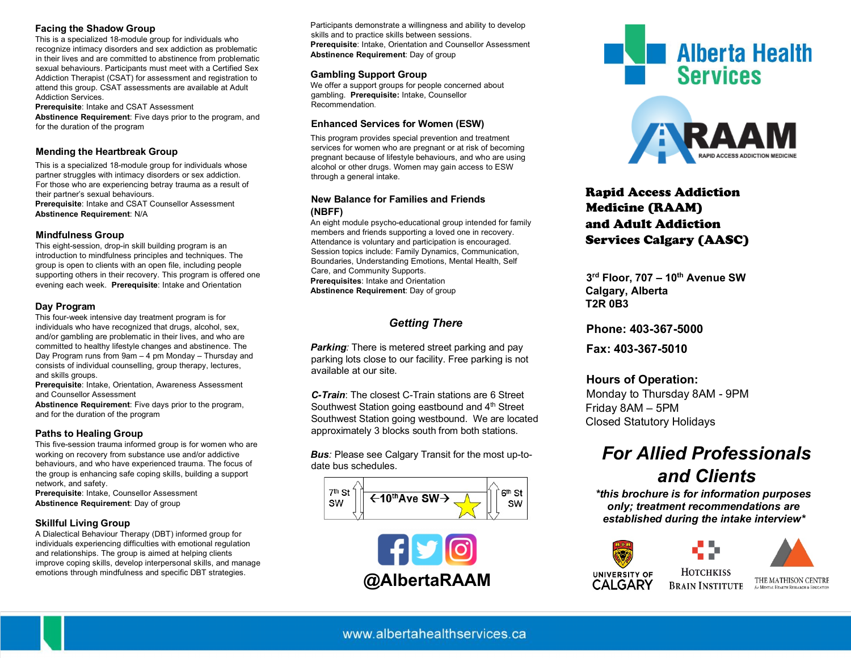#### **Facing the Shadow Group**

This is a specialized 18-module group for individuals who recognize intimacy disorders and sex addiction as problematic in their lives and are committed to abstinence from problematic sexual behaviours. Participants must meet with a Certified Sex Addiction Therapist (CSAT) for assessment and registration to attend this group. CSAT assessments are available at Adult Addiction Services.

**Prerequisite**: Intake and CSAT Assessment **Abstinence Requirement**: Five days prior to the program, and for the duration of the program

#### **Mending the Heartbreak Group**

This is a specialized 18-module group for individuals whose partner struggles with intimacy disorders or sex addiction. For those who are experiencing betray trauma as a result of their partner's sexual behaviours. **Prerequisite**: Intake and CSAT Counsellor Assessment

**Abstinence Requirement**: N/A

#### **Mindfulness Group**

This eight-session, drop-in skill building program is an introduction to mindfulness principles and techniques. The group is open to clients with an open file, including people supporting others in their recovery. This program is offered one evening each week. **Prerequisite**: Intake and Orientation

#### **Day Program**

This four-week intensive day treatment program is for individuals who have recognized that drugs, alcohol, sex, and/or gambling are problematic in their lives, and who are committed to healthy lifestyle changes and abstinence. The Day Program runs from 9am – 4 pm Monday – Thursday and consists of individual counselling, group therapy, lectures, and skills groups.

**Prerequisite**: Intake, Orientation, Awareness Assessment and Counsellor Assessment

**Abstinence Requirement**: Five days prior to the program, and for the duration of the program

#### **Paths to Healing Group**

This five-session trauma informed group is for women who are working on recovery from substance use and/or addictive behaviours, and who have experienced trauma. The focus of the group is enhancing safe coping skills, building a support network, and safety.

**Prerequisite**: Intake, Counsellor Assessment **Abstinence Requirement**: Day of group

#### **Skillful Living Group**

A Dialectical Behaviour Therapy (DBT) informed group for individuals experiencing difficulties with emotional regulation and relationships. The group is aimed at helping clients improve coping skills, develop interpersonal skills, and manage emotions through mindfulness and specific DBT strategies.

Participants demonstrate a willingness and ability to develop skills and to practice skills between sessions. **Prerequisite**: Intake, Orientation and Counsellor Assessment **Abstinence Requirement**: Day of group

#### **Gambling Support Group**

We offer a support groups for people concerned about gambling. **Prerequisite:** Intake, Counsellor Recommendation.

#### **Enhanced Services for Women (ESW)**

This program provides special prevention and treatment services for women who are pregnant or at risk of becoming pregnant because of lifestyle behaviours, and who are using alcohol or other drugs. Women may gain access to ESW through a general intake.

#### **New Balance for Families and Friends (NBFF)**

An eight module psycho-educational group intended for family members and friends supporting a loved one in recovery. Attendance is voluntary and participation is encouraged. Session topics include: Family Dynamics, Communication, Boundaries, Understanding Emotions, Mental Health, Self Care, and Community Supports. **Prerequisites**: Intake and Orientation **Abstinence Requirement**: Day of group

### *Getting There*

*Parking:* There is metered street parking and pay parking lots close to our facility. Free parking is not available at our site.

*C-Train*: The closest C-Train stations are 6 Street Southwest Station going eastbound and 4<sup>th</sup> Street Southwest Station going westbound. We are located approximately 3 blocks south from both stations.

*Bus:* Please see Calgary Transit for the most up-todate bus schedules.









## Rapid Access Addiction Medicine (RAAM) and Adult Addiction Services Calgary (AASC)

**3rd Floor, 707 – 10th Avenue SW Calgary, Alberta T2R 0B3** 

**Phone: 403-367-5000** 

**Fax: 403-367-5010** 

### **Hours of Operation:**

Monday to Thursday 8AM - 9PM Friday 8AM – 5PM Closed Statutory Holidays

# *For Allied Professionals and Clients*

 *\*this brochure is for information purposes only; treatment recommendations are established during the intake interview\**